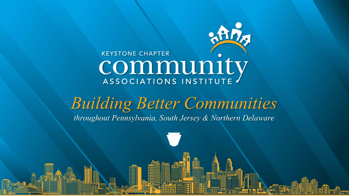**KEYSTONE CHAPTER** COMMUNITY<br>ASSOCIATIONS INSTITUTE

Ail7.

**Building Better Communities** throughout Pennsylvania, South Jersey & Northern Delaware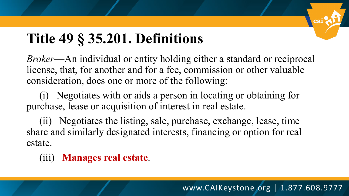### **Title 49 § 35.201. Definitions**

*Broker*—An individual or entity holding either a standard or reciprocal license, that, for another and for a fee, commission or other valuable consideration, does one or more of the following:

(i) Negotiates with or aids a person in locating or obtaining for purchase, lease or acquisition of interest in real estate.

(ii) Negotiates the listing, sale, purchase, exchange, lease, time share and similarly designated interests, financing or option for real estate.

(iii) **Manages real estate**.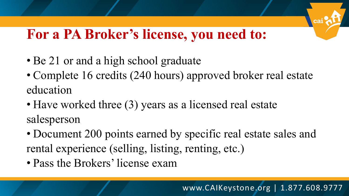#### **For a PA Broker's license, you need to:**

- Be 21 or and a high school graduate
- Complete 16 credits (240 hours) approved broker real estate education
- Have worked three (3) years as a licensed real estate salesperson
- Document 200 points earned by specific real estate sales and rental experience (selling, listing, renting, etc.)
- Pass the Brokers' license exam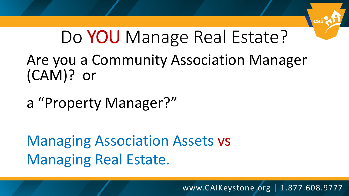# Do YOU Manage Real Estate? Are you a Community Association Manager (CAM)? or

a "Property Manager?"

Managing Association Assets vs Managing Real Estate.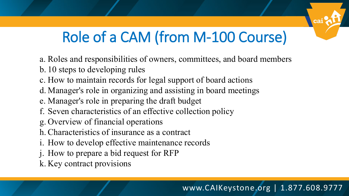# Role of a CAM (from M-100 Course)

- a. Roles and responsibilities of owners, committees, and board members
- b. 10 steps to developing rules
- c. How to maintain records for legal support of board actions
- d. Manager's role in organizing and assisting in board meetings
- e. Manager's role in preparing the draft budget
- f. Seven characteristics of an effective collection policy
- g. Overview of financial operations
- h. Characteristics of insurance as a contract
- i. How to develop effective maintenance records
- j. How to prepare a bid request for RFP
- k. Key contract provisions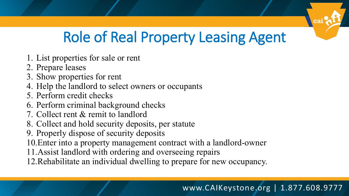### Role of Real Property Leasing Agent

- 1. List properties for sale or rent
- 2. Prepare leases
- 3. Show properties for rent
- 4. Help the landlord to select owners or occupants
- 5. Perform credit checks
- 6. Perform criminal background checks
- 7. Collect rent & remit to landlord
- 8. Collect and hold security deposits, per statute
- 9. Properly dispose of security deposits

10.Enter into a property management contract with a landlord-owner

- 11.Assist landlord with ordering and overseeing repairs
- 12.Rehabilitate an individual dwelling to prepare for new occupancy.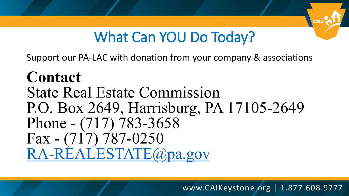### What Can YOU Do Today?

Support our PA-LAC with donation from your company & associations

### **Contact** State Real Estate Commission P.O. Box 2649, Harrisburg, PA 17105-2649 Phone - (717) 783-3658 Fax - (717) 787-0250 [RA-REALESTATE@pa.gov](mailto:RA-REALESTATE@pa.gov)